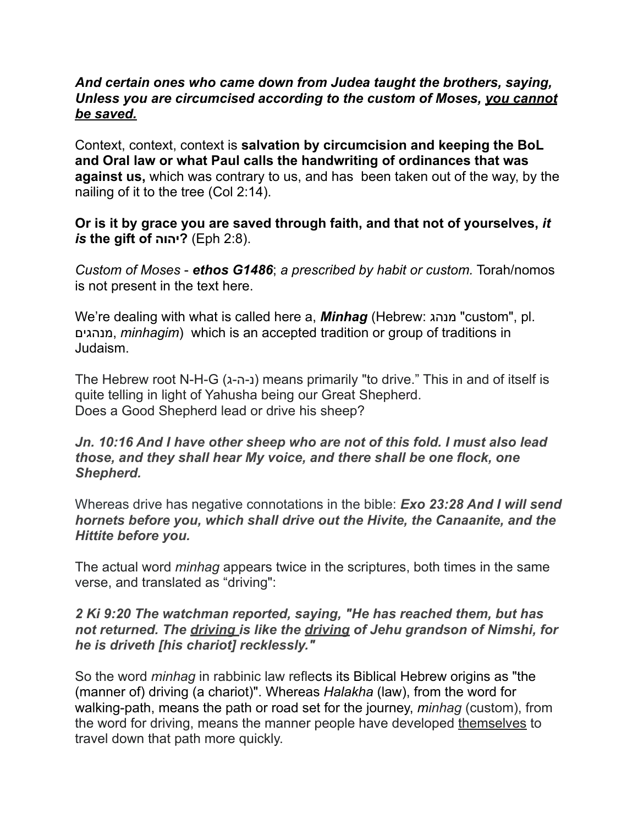### *And certain ones who came down from Judea taught the brothers, saying, Unless you are circumcised according to the custom of Moses, you cannot be saved.*

Context, context, context is **salvation by circumcision and keeping the BoL and Oral law or what Paul calls the handwriting of ordinances that was against us,** which was contrary to us, and has been taken out of the way, by the nailing of it to the tree (Col 2:14).

## **Or is it by grace you are saved through faith, and that not of yourselves,** *it is* **the gift of יהוה**) **?**Eph 2:8).

*Custom of Moses* - *ethos G1486*; *a prescribed by habit or custom.* Torah/nomos is not present in the text here.

We're dealing with what is called here a, *Minhag* ([Hebrew:](https://en.wikipedia.org/wiki/Hebrew_language) מנהג" custom", pl. מנהגים, *minhagim*) which is an accepted tradition or group of traditions in [Judaism](https://en.wikipedia.org/wiki/Judaism).

The Hebrew root N-H-G (ג-ה-נ (means primarily "to drive." This in and of itself is quite telling in light of Yahusha being our Great Shepherd. Does a Good Shepherd lead or drive his sheep?

## *Jn. 10:16 And I have other sheep who are not of this fold. I must also lead those, and they shall hear My voice, and there shall be one flock, one Shepherd.*

Whereas drive has negative connotations in the bible: *Exo 23:28 And I will send hornets before you, which shall drive out the Hivite, the Canaanite, and the Hittite before you.* 

The actual word *minhag* appears twice in the scriptures, both times in the same verse, and translated as "driving":

## *2 Ki 9:20 The watchman reported, saying, "He has reached them, but has not returned. The driving is like the driving of Jehu grandson of Nimshi, for he is driveth [his chariot] recklessly."*

So the word *minhag* in rabbinic law reflects its [Biblical Hebrew](https://en.wikipedia.org/wiki/Biblical_Hebrew) origins as "the (manner of) driving (a chariot)". Whereas *[Halakha](https://en.wikipedia.org/wiki/Halakha)* (law), from the word for walking-path, means the path or road set for the journey, *minhag* (custom), from the word for driving, means the manner people have developed themselves to travel down that path more quickly.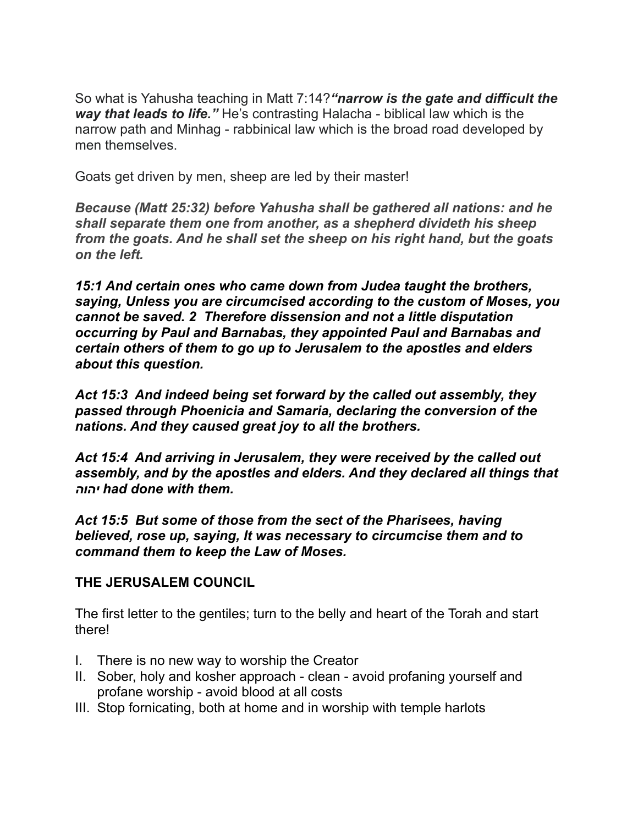So what is Yahusha teaching in Matt 7:14?*"narrow is the gate and difficult the way that leads to life."* He's contrasting Halacha - biblical law which is the narrow path and Minhag - rabbinical law which is the broad road developed by men themselves.

Goats get driven by men, sheep are led by their master!

*Because (Matt 25:32) before Yahusha shall be gathered all nations: and he shall separate them one from another, as a shepherd divideth his sheep from the goats. And he shall set the sheep on his right hand, but the goats on the left.* 

*15:1 And certain ones who came down from Judea taught the brothers, saying, Unless you are circumcised according to the custom of Moses, you cannot be saved. 2 Therefore dissension and not a little disputation occurring by Paul and Barnabas, they appointed Paul and Barnabas and certain others of them to go up to Jerusalem to the apostles and elders about this question.* 

*Act 15:3 And indeed being set forward by the called out assembly, they passed through Phoenicia and Samaria, declaring the conversion of the nations. And they caused great joy to all the brothers.* 

*Act 15:4 And arriving in Jerusalem, they were received by the called out assembly, and by the apostles and elders. And they declared all things that יהוה had done with them.*

*Act 15:5 But some of those from the sect of the Pharisees, having believed, rose up, saying, It was necessary to circumcise them and to command them to keep the Law of Moses.* 

# **THE JERUSALEM COUNCIL**

The first letter to the gentiles; turn to the belly and heart of the Torah and start there!

- I. There is no new way to worship the Creator
- II. Sober, holy and kosher approach clean avoid profaning yourself and profane worship - avoid blood at all costs
- III. Stop fornicating, both at home and in worship with temple harlots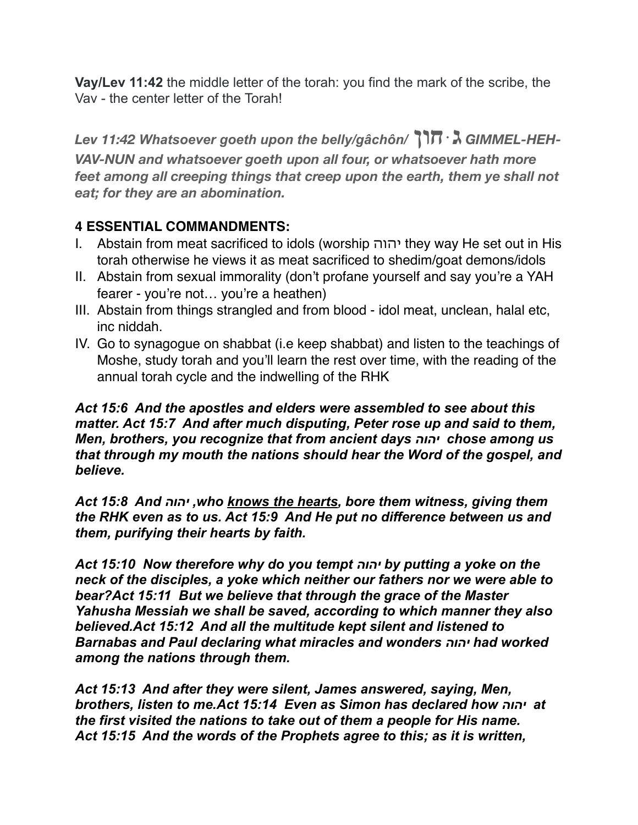**Vay/Lev 11:42** the middle letter of the torah: you find the mark of the scribe, the Vav - the center letter of the Torah!

*Lev 11:42 Whatsoever goeth upon the belly/gâchôn/* **חוןּג** *GIMMEL-HEH-VAV-NUN and whatsoever goeth upon all four, or whatsoever hath more feet among all creeping things that creep upon the earth, them ye shall not eat; for they are an abomination.* 

# **4 ESSENTIAL COMMANDMENTS:**

- I. Abstain from meat sacrificed to idols (worship יהוה they way He set out in His torah otherwise he views it as meat sacrificed to shedim/goat demons/idols
- II. Abstain from sexual immorality (don't profane yourself and say you're a YAH fearer - you're not… you're a heathen)
- III. Abstain from things strangled and from blood idol meat, unclean, halal etc, inc niddah.
- IV. Go to synagogue on shabbat (i.e keep shabbat) and listen to the teachings of Moshe, study torah and you'll learn the rest over time, with the reading of the annual torah cycle and the indwelling of the RHK

*Act 15:6 And the apostles and elders were assembled to see about this matter. Act 15:7 And after much disputing, Peter rose up and said to them, Men, brothers, you recognize that from ancient days יהוה chose among us that through my mouth the nations should hear the Word of the gospel, and believe.* 

*Act 15:8 And יהוה ,who knows the hearts, bore them witness, giving them the RHK even as to us. Act 15:9 And He put no difference between us and them, purifying their hearts by faith.* 

*Act 15:10 Now therefore why do you tempt יהוה by putting a yoke on the neck of the disciples, a yoke which neither our fathers nor we were able to bear?Act 15:11 But we believe that through the grace of the Master Yahusha Messiah we shall be saved, according to which manner they also believed.Act 15:12 And all the multitude kept silent and listened to Barnabas and Paul declaring what miracles and wonders יהוה had worked among the nations through them.* 

*Act 15:13 And after they were silent, James answered, saying, Men, brothers, listen to me.Act 15:14 Even as Simon has declared how יהוה at the first visited the nations to take out of them a people for His name. Act 15:15 And the words of the Prophets agree to this; as it is written,*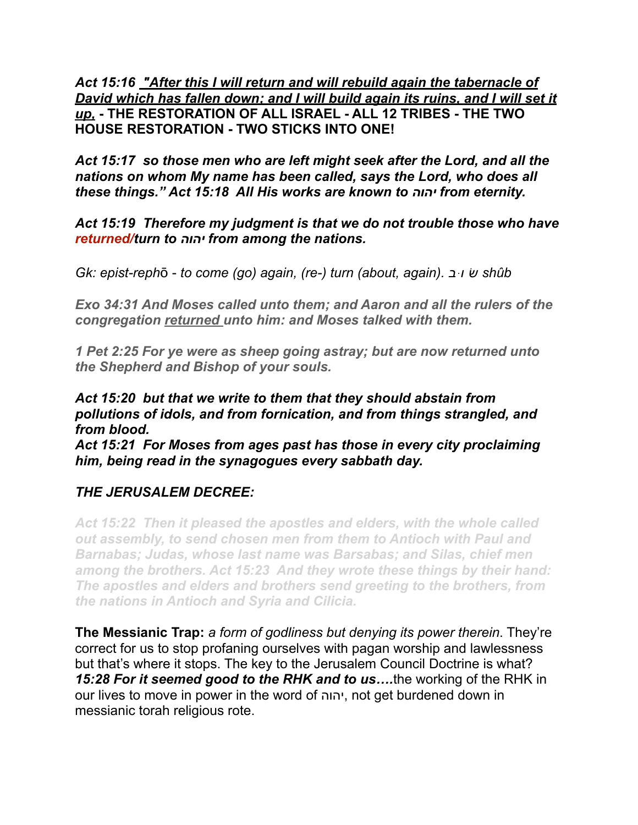*Act 15:16 "After this I will return and will rebuild again the tabernacle of David which has fallen down; and I will build again its ruins, and I will set it up,* **- THE RESTORATION OF ALL ISRAEL - ALL 12 TRIBES - THE TWO HOUSE RESTORATION - TWO STICKS INTO ONE!** 

*Act 15:17 so those men who are left might seek after the Lord, and all the nations on whom My name has been called, says the Lord, who does all these things." Act 15:18 All His works are known to יהוה from eternity.*

*Act 15:19 Therefore my judgment is that we do not trouble those who have returned/turn to יהוה from among the nations.*

*Gk: epist-reph*ō - *to come (go) again, (re-) turn (about, again). בּוׁש shûb*

*Exo 34:31 And Moses called unto them; and Aaron and all the rulers of the congregation returned unto him: and Moses talked with them.* 

*1 Pet 2:25 For ye were as sheep going astray; but are now returned unto the Shepherd and Bishop of your souls.* 

*Act 15:20 but that we write to them that they should abstain from pollutions of idols, and from fornication, and from things strangled, and from blood.* 

*Act 15:21 For Moses from ages past has those in every city proclaiming him, being read in the synagogues every sabbath day.* 

# *THE JERUSALEM DECREE:*

*Act 15:22 Then it pleased the apostles and elders, with the whole called out assembly, to send chosen men from them to Antioch with Paul and Barnabas; Judas, whose last name was Barsabas; and Silas, chief men among the brothers. Act 15:23 And they wrote these things by their hand: The apostles and elders and brothers send greeting to the brothers, from the nations in Antioch and Syria and Cilicia.* 

**The Messianic Trap:** *a form of godliness but denying its power therein*. They're correct for us to stop profaning ourselves with pagan worship and lawlessness but that's where it stops. The key to the Jerusalem Council Doctrine is what? *15:28 For it seemed good to the RHK and to us….*the working of the RHK in our lives to move in power in the word of יהוה, not get burdened down in messianic torah religious rote.